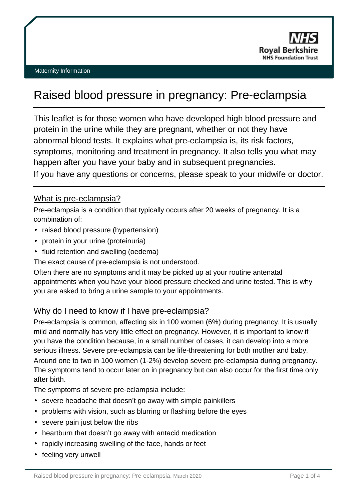

# Raised blood pressure in pregnancy: Pre-eclampsia

This leaflet is for those women who have developed high blood pressure and protein in the urine while they are pregnant, whether or not they have abnormal blood tests. It explains what pre-eclampsia is, its risk factors, symptoms, monitoring and treatment in pregnancy. It also tells you what may happen after you have your baby and in subsequent pregnancies. If you have any questions or concerns, please speak to your midwife or doctor.

### What is pre-eclampsia?

Pre-eclampsia is a condition that typically occurs after 20 weeks of pregnancy. It is a combination of:

- raised blood pressure (hypertension)
- protein in your urine (proteinuria)
- fluid retention and swelling (oedema)

The exact cause of pre-eclampsia is not understood.

Often there are no symptoms and it may be picked up at your routine antenatal appointments when you have your blood pressure checked and urine tested. This is why you are asked to bring a urine sample to your appointments.

## Why do I need to know if I have pre-eclampsia?

Pre-eclampsia is common, affecting six in 100 women (6%) during pregnancy. It is usually mild and normally has very little effect on pregnancy. However, it is important to know if you have the condition because, in a small number of cases, it can develop into a more serious illness. Severe pre-eclampsia can be life-threatening for both mother and baby. Around one to two in 100 women (1-2%) develop severe pre-eclampsia during pregnancy. The symptoms tend to occur later on in pregnancy but can also occur for the first time only after birth.

The symptoms of severe pre-eclampsia include:

- severe headache that doesn't go away with simple painkillers  $\mathbf{r}^{\prime}$
- problems with vision, such as blurring or flashing before the eyes
- severe pain just below the ribs
- heartburn that doesn't go away with antacid medication
- rapidly increasing swelling of the face, hands or feet
- feeling very unwell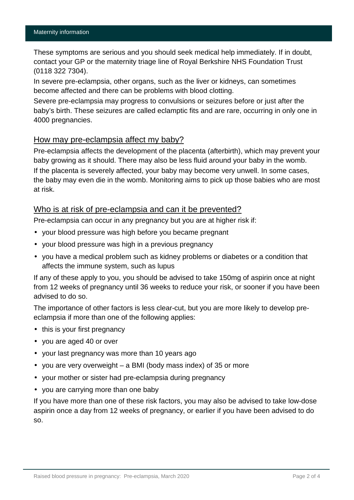These symptoms are serious and you should seek medical help immediately. If in doubt, contact your GP or the maternity triage line of Royal Berkshire NHS Foundation Trust (0118 322 7304).

In severe pre-eclampsia, other organs, such as the liver or kidneys, can sometimes become affected and there can be problems with blood clotting.

Severe pre-eclampsia may progress to convulsions or seizures before or just after the baby's birth. These seizures are called eclamptic fits and are rare, occurring in only one in 4000 pregnancies.

# How may pre-eclampsia affect my baby?

Pre-eclampsia affects the development of the placenta (afterbirth), which may prevent your baby growing as it should. There may also be less fluid around your baby in the womb. If the placenta is severely affected, your baby may become very unwell. In some cases, the baby may even die in the womb. Monitoring aims to pick up those babies who are most at risk.

### Who is at risk of pre-eclampsia and can it be prevented?

Pre-eclampsia can occur in any pregnancy but you are at higher risk if:

- your blood pressure was high before you became pregnant
- your blood pressure was high in a previous pregnancy
- you have a medical problem such as kidney problems or diabetes or a condition that affects the immune system, such as lupus

If any of these apply to you, you should be advised to take 150mg of aspirin once at night from 12 weeks of pregnancy until 36 weeks to reduce your risk, or sooner if you have been advised to do so.

The importance of other factors is less clear-cut, but you are more likely to develop preeclampsia if more than one of the following applies:

- $\mathbf{r}$ this is your first pregnancy
- you are aged 40 or over
- your last pregnancy was more than 10 years ago
- you are very overweight a BMI (body mass index) of 35 or more
- your mother or sister had pre-eclampsia during pregnancy
- you are carrying more than one baby

If you have more than one of these risk factors, you may also be advised to take low-dose aspirin once a day from 12 weeks of pregnancy, or earlier if you have been advised to do so.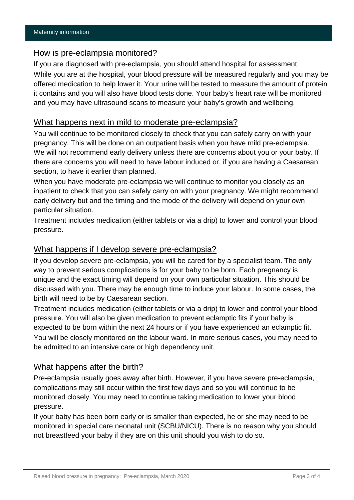#### How is pre-eclampsia monitored?

If you are diagnosed with pre-eclampsia, you should attend hospital for assessment.

While you are at the hospital, your blood pressure will be measured regularly and you may be offered medication to help lower it. Your urine will be tested to measure the amount of protein it contains and you will also have blood tests done. Your baby's heart rate will be monitored and you may have ultrasound scans to measure your baby's growth and wellbeing.

## What happens next in mild to moderate pre-eclampsia?

You will continue to be monitored closely to check that you can safely carry on with your pregnancy. This will be done on an outpatient basis when you have mild pre-eclampsia. We will not recommend early delivery unless there are concerns about you or your baby. If there are concerns you will need to have labour induced or, if you are having a Caesarean section, to have it earlier than planned.

When you have moderate pre-eclampsia we will continue to monitor you closely as an inpatient to check that you can safely carry on with your pregnancy. We might recommend early delivery but and the timing and the mode of the delivery will depend on your own particular situation.

Treatment includes medication (either tablets or via a drip) to lower and control your blood pressure.

## What happens if I develop severe pre-eclampsia?

If you develop severe pre-eclampsia, you will be cared for by a specialist team. The only way to prevent serious complications is for your baby to be born. Each pregnancy is unique and the exact timing will depend on your own particular situation. This should be discussed with you. There may be enough time to induce your labour. In some cases, the birth will need to be by Caesarean section.

Treatment includes medication (either tablets or via a drip) to lower and control your blood pressure. You will also be given medication to prevent eclamptic fits if your baby is expected to be born within the next 24 hours or if you have experienced an eclamptic fit. You will be closely monitored on the labour ward. In more serious cases, you may need to be admitted to an intensive care or high dependency unit.

## What happens after the birth?

Pre-eclampsia usually goes away after birth. However, if you have severe pre-eclampsia, complications may still occur within the first few days and so you will continue to be monitored closely. You may need to continue taking medication to lower your blood pressure.

If your baby has been born early or is smaller than expected, he or she may need to be monitored in special care neonatal unit (SCBU/NICU). There is no reason why you should not breastfeed your baby if they are on this unit should you wish to do so.